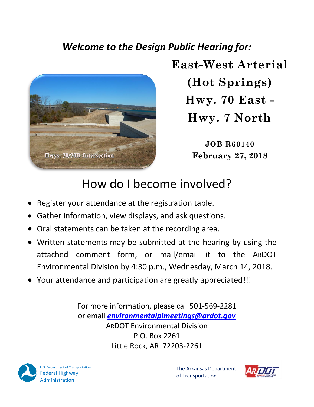### *Welcome to the Design Public Hearing for:*



**East-West Arterial (Hot Springs) Hwy. 70 East - Hwy. 7 North**

> **JOB R60140 February 27, 2018**

# How do I become involved?

- Register your attendance at the registration table.
- Gather information, view displays, and ask questions.
- Oral statements can be taken at the recording area.
- Written statements may be submitted at the hearing by using the attached comment form, or mail/email it to the ARDOT Environmental Division by 4:30 p.m., Wednesday, March 14, 2018.
- Your attendance and participation are greatly appreciated!!!

For more information, please call 501-569-2281 or email *[environmentalpimeetings@ardot.gov](mailto:environmentalpimeetings@ardot.gov)* ARDOT Environmental Division P.O. Box 2261 Little Rock, AR 72203-2261



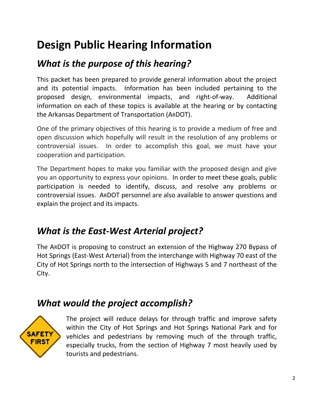## **Design Public Hearing Information**

### *What is the purpose of this hearing?*

This packet has been prepared to provide general information about the project and its potential impacts. Information has been included pertaining to the proposed design, environmental impacts, and right-of-way. Additional information on each of these topics is available at the hearing or by contacting the Arkansas Department of Transportation (ARDOT).

One of the primary objectives of this hearing is to provide a medium of free and open discussion which hopefully will result in the resolution of any problems or controversial issues. In order to accomplish this goal, we must have your cooperation and participation.

The Department hopes to make you familiar with the proposed design and give you an opportunity to express your opinions. In order to meet these goals, public participation is needed to identify, discuss, and resolve any problems or controversial issues. ARDOT personnel are also available to answer questions and explain the project and its impacts.

#### *What is the East-West Arterial project?*

The ARDOT is proposing to construct an extension of the Highway 270 Bypass of Hot Springs (East-West Arterial) from the interchange with Highway 70 east of the City of Hot Springs north to the intersection of Highways 5 and 7 northeast of the City.

#### *What would the project accomplish?*



The project will reduce delays for through traffic and improve safety within the City of Hot Springs and Hot Springs National Park and for vehicles and pedestrians by removing much of the through traffic, especially trucks, from the section of Highway 7 most heavily used by tourists and pedestrians.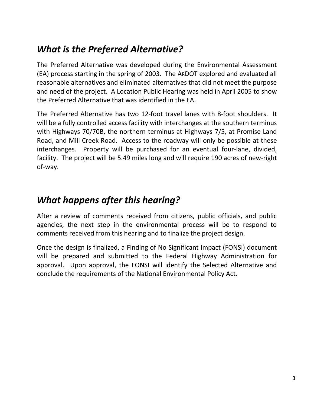#### *What is the Preferred Alternative?*

The Preferred Alternative was developed during the Environmental Assessment (EA) process starting in the spring of 2003. The ARDOT explored and evaluated all reasonable alternatives and eliminated alternatives that did not meet the purpose and need of the project. A Location Public Hearing was held in April 2005 to show the Preferred Alternative that was identified in the EA.

The Preferred Alternative has two 12-foot travel lanes with 8-foot shoulders. It will be a fully controlled access facility with interchanges at the southern terminus with Highways 70/70B, the northern terminus at Highways 7/5, at Promise Land Road, and Mill Creek Road. Access to the roadway will only be possible at these interchanges. Property will be purchased for an eventual four-lane, divided, facility. The project will be 5.49 miles long and will require 190 acres of new-right of-way.

#### *What happens after this hearing?*

After a review of comments received from citizens, public officials, and public agencies, the next step in the environmental process will be to respond to comments received from this hearing and to finalize the project design.

Once the design is finalized, a Finding of No Significant Impact (FONSI) document will be prepared and submitted to the Federal Highway Administration for approval. Upon approval, the FONSI will identify the Selected Alternative and conclude the requirements of the National Environmental Policy Act.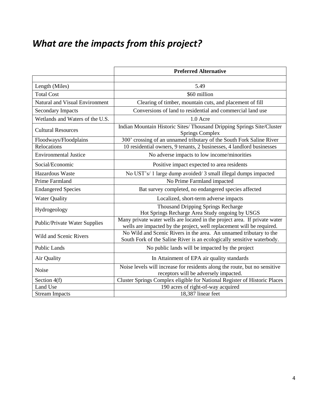## *What are the impacts from this project?*

|                                      | <b>Preferred Alternative</b>                                                                                                                        |  |  |  |
|--------------------------------------|-----------------------------------------------------------------------------------------------------------------------------------------------------|--|--|--|
|                                      |                                                                                                                                                     |  |  |  |
| Length (Miles)                       | 5.49                                                                                                                                                |  |  |  |
| <b>Total Cost</b>                    | \$60 million                                                                                                                                        |  |  |  |
| Natural and Visual Environment       | Clearing of timber, mountain cuts, and placement of fill                                                                                            |  |  |  |
| <b>Secondary Impacts</b>             | Conversions of land to residential and commercial land use                                                                                          |  |  |  |
| Wetlands and Waters of the U.S.      | 1.0 Acre                                                                                                                                            |  |  |  |
| <b>Cultural Resources</b>            | Indian Mountain Historic Sites/ Thousand Dripping Springs Site/Cluster<br><b>Springs Complex</b>                                                    |  |  |  |
| Floodways/Floodplains                | 300' crossing of an unnamed tributary of the South Fork Saline River                                                                                |  |  |  |
| Relocations                          | 10 residential owners, 9 tenants, 2 businesses, 4 landlord businesses                                                                               |  |  |  |
| <b>Environmental Justice</b>         | No adverse impacts to low income/minorities                                                                                                         |  |  |  |
| Social/Economic                      | Positive impact expected to area residents                                                                                                          |  |  |  |
| Hazardous Waste                      | No UST's/ 1 large dump avoided/ 3 small illegal dumps impacted                                                                                      |  |  |  |
| Prime Farmland                       | No Prime Farmland impacted                                                                                                                          |  |  |  |
| <b>Endangered Species</b>            | Bat survey completed, no endangered species affected                                                                                                |  |  |  |
| <b>Water Quality</b>                 | Localized, short-term adverse impacts                                                                                                               |  |  |  |
| Hydrogeology                         | <b>Thousand Dripping Springs Recharge</b><br>Hot Springs Recharge Area Study ongoing by USGS                                                        |  |  |  |
| <b>Public/Private Water Supplies</b> | Many private water wells are located in the project area. If private water<br>wells are impacted by the project, well replacement will be required. |  |  |  |
| Wild and Scenic Rivers               | No Wild and Scenic Rivers in the area. An unnamed tributary to the<br>South Fork of the Saline River is an ecologically sensitive waterbody.        |  |  |  |
| <b>Public Lands</b>                  | No public lands will be impacted by the project                                                                                                     |  |  |  |
| Air Quality                          | In Attainment of EPA air quality standards                                                                                                          |  |  |  |
| Noise                                | Noise levels will increase for residents along the route, but no sensitive                                                                          |  |  |  |
| Section 4(f)                         | receptors will be adversely impacted.<br>Cluster Springs Complex eligible for National Register of Historic Places                                  |  |  |  |
| Land Use                             | 190 acres of right-of-way acquired                                                                                                                  |  |  |  |
| <b>Stream Impacts</b>                | 18,387 linear feet                                                                                                                                  |  |  |  |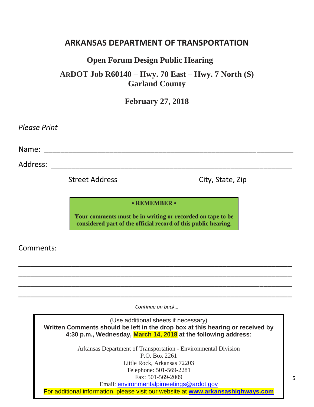#### **ARKANSAS DEPARTMENT OF TRANSPORTATION**

#### **Open Forum Design Public Hearing**

**ARDOT Job R60140 – Hwy. 70 East – Hwy. 7 North (S) Garland County**

**February 27, 2018**

*Please Print* 

Name: <u>with a set of the set of the set of the set of the set of the set of the set of the set of the set of the set of the set of the set of the set of the set of the set of the set of the set of the set of the set of the</u>

Address: \_\_\_\_\_\_\_\_\_\_\_\_\_\_\_\_\_\_\_\_\_\_\_\_\_\_\_\_\_\_\_\_\_\_\_\_\_\_\_\_\_\_\_\_\_\_\_\_\_\_\_\_\_\_\_\_\_\_\_

Street Address City, State, Zip

#### **• REMEMBER •**

**Your comments must be in writing or recorded on tape to be considered part of the official record of this public hearing.**

\_\_\_\_\_\_\_\_\_\_\_\_\_\_\_\_\_\_\_\_\_\_\_\_\_\_\_\_\_\_\_\_\_\_\_\_\_\_\_\_\_\_\_\_\_\_\_\_\_\_\_\_\_\_\_\_\_\_\_\_\_\_\_\_\_\_\_ \_\_\_\_\_\_\_\_\_\_\_\_\_\_\_\_\_\_\_\_\_\_\_\_\_\_\_\_\_\_\_\_\_\_\_\_\_\_\_\_\_\_\_\_\_\_\_\_\_\_\_\_\_\_\_\_\_\_\_\_\_\_\_\_\_\_\_ \_\_\_\_\_\_\_\_\_\_\_\_\_\_\_\_\_\_\_\_\_\_\_\_\_\_\_\_\_\_\_\_\_\_\_\_\_\_\_\_\_\_\_\_\_\_\_\_\_\_\_\_\_\_\_\_\_\_\_\_\_\_\_\_\_\_\_ \_\_\_\_\_\_\_\_\_\_\_\_\_\_\_\_\_\_\_\_\_\_\_\_\_\_\_\_\_\_\_\_\_\_\_\_\_\_\_\_\_\_\_\_\_\_\_\_\_\_\_\_\_\_\_\_\_\_\_\_\_\_\_\_\_\_\_

Comments:

*Continue on back…*

(Use additional sheets if necessary) **Written Comments should be left in the drop box at this hearing or received by 4:30 p.m., Wednesday, March 14, 2018 at the following address:**

> Arkansas Department of Transportation - Environmental Division P.O. Box 2261 Little Rock, Arkansas 72203 Telephone: 501-569-2281 Fax: 501-569-2009 Email: [environmentalpimeetings@ardot.gov](mailto:environmentalpimeetings@ardot.gov)

For additional information, please visit our website at **[www.arkansashighways.com](http://www.arkansashighways.com/)**